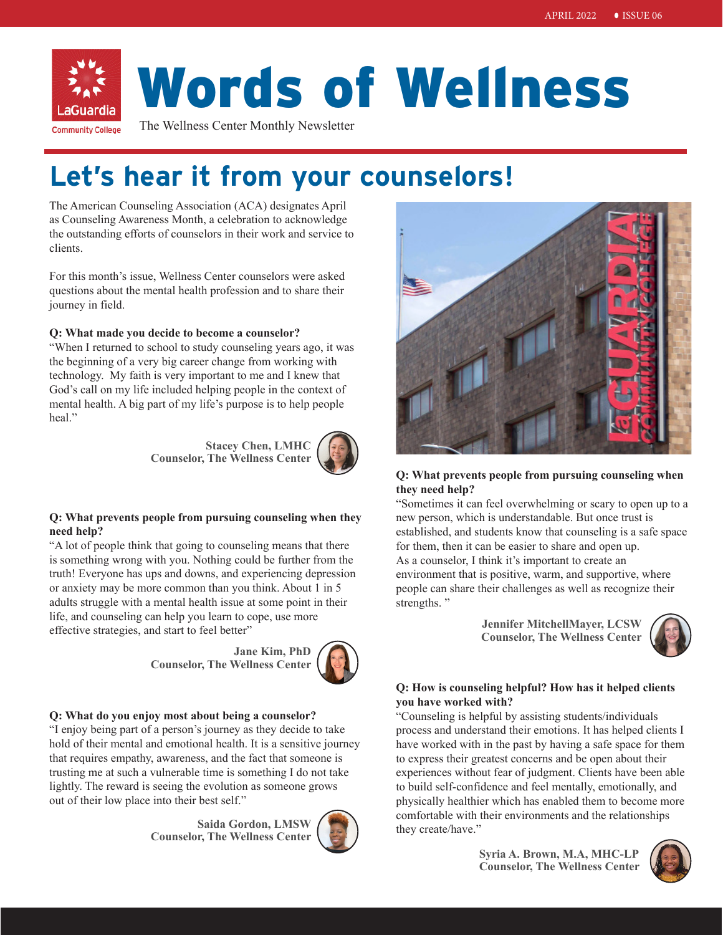

# Words of Wellness

The Wellness Center Monthly Newsletter

# **Let's hear it from your counselors!**

The American Counseling Association (ACA) designates April as Counseling Awareness Month, a celebration to acknowledge the outstanding efforts of counselors in their work and service to clients.

For this month's issue, Wellness Center counselors were asked questions about the mental health profession and to share their journey in field.

#### **Q: What made you decide to become a counselor?**

"When I returned to school to study counseling years ago, it was the beginning of a very big career change from working with technology. My faith is very important to me and I knew that God's call on my life included helping people in the context of mental health. A big part of my life's purpose is to help people heal."

> **Stacey Chen, LMHC Counselor, The Wellness Center**



#### **Q: What prevents people from pursuing counseling when they need help?**

"A lot of people think that going to counseling means that there is something wrong with you. Nothing could be further from the truth! Everyone has ups and downs, and experiencing depression or anxiety may be more common than you think. About 1 in 5 adults struggle with a mental health issue at some point in their life, and counseling can help you learn to cope, use more effective strategies, and start to feel better"

> **Jane Kim, PhD Counselor, The Wellness Center**



#### **Q: What do you enjoy most about being a counselor?**

"I enjoy being part of a person's journey as they decide to take hold of their mental and emotional health. It is a sensitive journey that requires empathy, awareness, and the fact that someone is trusting me at such a vulnerable time is something I do not take lightly. The reward is seeing the evolution as someone grows out of their low place into their best self."

> **Saida Gordon, LMSW Counselor, The Wellness Center**





#### **Q: What prevents people from pursuing counseling when they need help?**

"Sometimes it can feel overwhelming or scary to open up to a new person, which is understandable. But once trust is established, and students know that counseling is a safe space for them, then it can be easier to share and open up. As a counselor, I think it's important to create an environment that is positive, warm, and supportive, where people can share their challenges as well as recognize their strengths."

> **Jennifer MitchellMayer, LCSW Counselor, The Wellness Center**



#### **Q: How is counseling helpful? How has it helped clients you have worked with?**

"Counseling is helpful by assisting students/individuals process and understand their emotions. It has helped clients I have worked with in the past by having a safe space for them to express their greatest concerns and be open about their experiences without fear of judgment. Clients have been able to build self-confidence and feel mentally, emotionally, and physically healthier which has enabled them to become more comfortable with their environments and the relationships they create/have."

> **Syria A. Brown, M.A, MHC-LP Counselor, The Wellness Center**